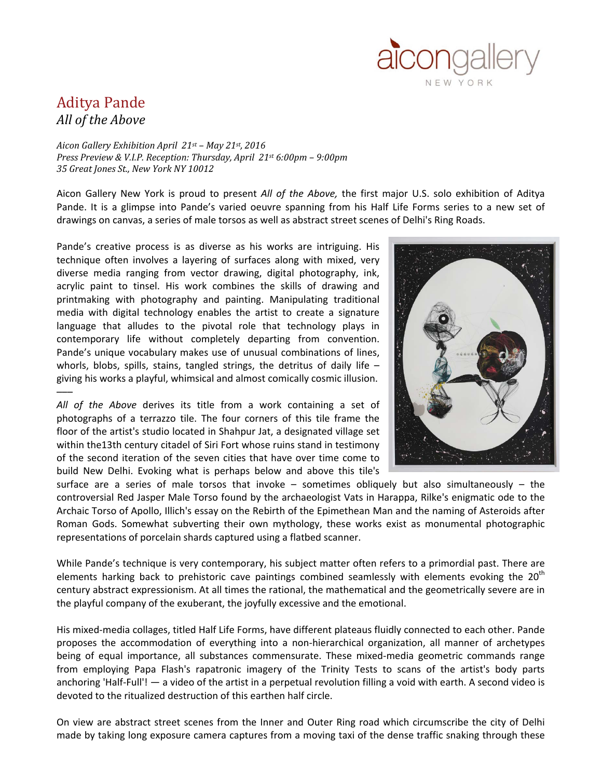

## Aditya Pande *All of the Above*

*Aicon Gallery Exhibition April 21st – May 21st, 2016 Press Preview & V.I.P. Reception: Thursday, April 21st 6:00pm – 9:00pm 35 Great Jones St., New York NY 10012*

Aicon Gallery New York is proud to present *All of the Above,* the first major U.S. solo exhibition of Aditya Pande. It is a glimpse into Pande's varied oeuvre spanning from his Half Life Forms series to a new set of drawings on canvas, a series of male torsos as well as abstract street scenes of Delhi's Ring Roads.

Pande's creative process is as diverse as his works are intriguing. His technique often involves a layering of surfaces along with mixed, very diverse media ranging from vector drawing, digital photography, ink, acrylic paint to tinsel. His work combines the skills of drawing and printmaking with photography and painting. Manipulating traditional media with digital technology enables the artist to create a signature language that alludes to the pivotal role that technology plays in contemporary life without completely departing from convention. Pande's unique vocabulary makes use of unusual combinations of lines, whorls, blobs, spills, stains, tangled strings, the detritus of daily life  $$ giving his works a playful, whimsical and almost comically cosmic illusion. –––

*All of the Above* derives its title from a work containing a set of photographs of a terrazzo tile. The four corners of this tile frame the floor of the artist's studio located in Shahpur Jat, a designated village set within the13th century citadel of Siri Fort whose ruins stand in testimony of the second iteration of the seven cities that have over time come to build New Delhi. Evoking what is perhaps below and above this tile's



surface are a series of male torsos that invoke – sometimes obliquely but also simultaneously – the controversial Red Jasper Male Torso found by the archaeologist Vats in Harappa, Rilke's enigmatic ode to the Archaic Torso of Apollo, Illich's essay on the Rebirth of the Epimethean Man and the naming of Asteroids after Roman Gods. Somewhat subverting their own mythology, these works exist as monumental photographic representations of porcelain shards captured using a flatbed scanner.

While Pande's technique is very contemporary, his subject matter often refers to a primordial past. There are elements harking back to prehistoric cave paintings combined seamlessly with elements evoking the  $20<sup>th</sup>$ century abstract expressionism. At all times the rational, the mathematical and the geometrically severe are in the playful company of the exuberant, the joyfully excessive and the emotional.

His mixed-media collages, titled Half Life Forms, have different plateaus fluidly connected to each other. Pande proposes the accommodation of everything into a non-hierarchical organization, all manner of archetypes being of equal importance, all substances commensurate. These mixed-media geometric commands range from employing Papa Flash's rapatronic imagery of the Trinity Tests to scans of the artist's body parts anchoring 'Half-Full'! — a video of the artist in a perpetual revolution filling a void with earth. A second video is devoted to the ritualized destruction of this earthen half circle.

On view are abstract street scenes from the Inner and Outer Ring road which circumscribe the city of Delhi made by taking long exposure camera captures from a moving taxi of the dense traffic snaking through these